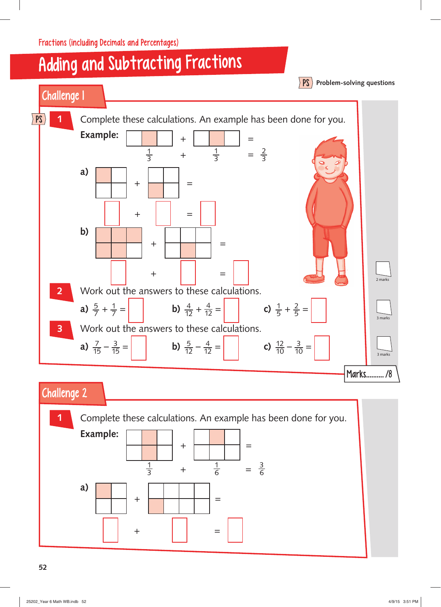Fractions (including Decimals and Percentages)

## Adding and Subtracting Fractions



## Challenge 2